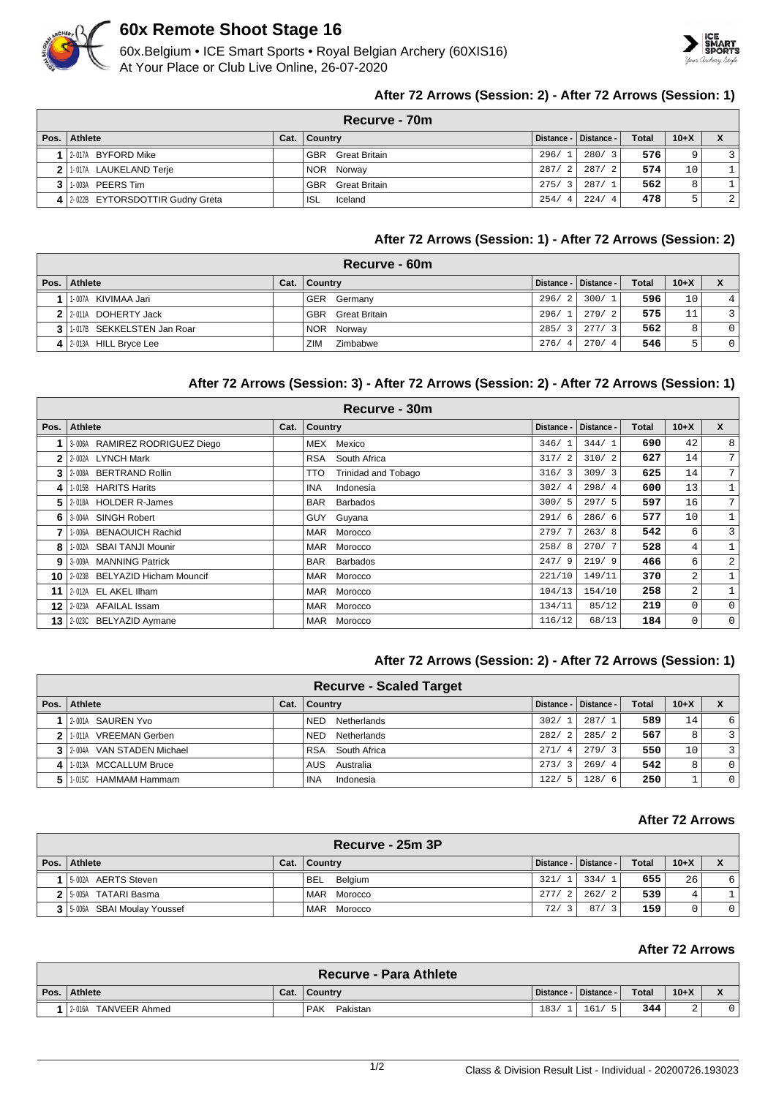

# **60x Remote Shoot Stage 16**

60x.Belgium • ICE Smart Sports • Royal Belgian Archery (60XIS16) At Your Place or Club Live Online, 26-07-2020



## **After 72 Arrows (Session: 2) - After 72 Arrows (Session: 1)**

|      | Recurve - 70m                     |  |                          |              |                           |              |          |    |  |  |
|------|-----------------------------------|--|--------------------------|--------------|---------------------------|--------------|----------|----|--|--|
| Pos. | Athlete                           |  | Cat.   Country           |              | │ Distance - │ Distance - | <b>Total</b> | $10 + X$ |    |  |  |
|      | 12-017A BYFORD Mike               |  | <b>GBR</b> Great Britain | 296/         | 280/3                     | 576          | 9        |    |  |  |
|      | 2 1-017A LAUKELAND Terje          |  | NOR Norway               | 287/<br>-2   | 287/2                     | 574          | 10       | 1. |  |  |
|      | <b>3   1-003A PEERS Tim</b>       |  | <b>GBR</b> Great Britain | 275/<br>$-3$ | 287/1                     | 562          | 8        | 1. |  |  |
|      | 4 2.022B EYTORSDOTTIR Gudny Greta |  | ISL.<br>Iceland          | 254/<br>4    | 224/<br>$\overline{4}$    | 478          | 5        | 2  |  |  |

## **After 72 Arrows (Session: 1) - After 72 Arrows (Session: 2)**

| Recurve - 60m                 |  |                          |       |                             |              |        |                |  |  |
|-------------------------------|--|--------------------------|-------|-----------------------------|--------------|--------|----------------|--|--|
| Pos.   Athlete                |  | Cat.   Country           |       | ∣ Distance - ∣ Distance - ∣ | <b>Total</b> | $10+X$ | X              |  |  |
| 1-007A KIVIMAA Jari           |  | GER Germany              | 296/2 | 300/1                       | 596          | 10     | 4              |  |  |
| 2 2-011A DOHERTY Jack         |  | <b>GBR</b> Great Britain | 296/1 | 279/2                       | 575          | 11     | 3 I            |  |  |
| 3 1 1017B SEKKELSTEN Jan Roar |  | NOR Norway               | 285/3 | 277/3                       | 562          | 8      | 0 <sup>1</sup> |  |  |
| 4 2-013A HILL Bryce Lee       |  | ZIM<br>Zimbabwe          | 276/4 | 270/4                       | 546          | π      | 0 <sup>1</sup> |  |  |

## **After 72 Arrows (Session: 3) - After 72 Arrows (Session: 2) - After 72 Arrows (Session: 1)**

| Recurve - 30m |                                   |      |                                   |            |            |       |        |                 |  |  |
|---------------|-----------------------------------|------|-----------------------------------|------------|------------|-------|--------|-----------------|--|--|
| Pos.          | <b>Athlete</b>                    | Cat. | Country                           | Distance - | Distance - | Total | $10+X$ | <b>X</b>        |  |  |
|               | 3-006A RAMIREZ RODRIGUEZ Diego    |      | Mexico<br>MEX                     | 346/1      | 344/1      | 690   | 42     | 8               |  |  |
| 2             | 2-002A LYNCH Mark                 |      | RSA<br>South Africa               | 317/2      | 310/2      | 627   | 14     | $7^{\circ}$     |  |  |
| 3             | 2-008A BERTRAND Rollin            |      | <b>Trinidad and Tobago</b><br>TTO | 316/3      | 309/3      | 625   | 14     | $7\overline{ }$ |  |  |
| 4             | 1-015B HARITS Harits              |      | Indonesia<br><b>INA</b>           | 302/4      | 298/4      | 600   | 13     | $\mathbf{1}$    |  |  |
| 5.            | 2-018A HOLDER R-James             |      | <b>BAR</b><br><b>Barbados</b>     | 300/5      | 297/5      | 597   | 16     | $7\overline{ }$ |  |  |
| 6.            | 3-004A SINGH Robert               |      | Guyana<br>GUY                     | 291/6      | 286/6      | 577   | 10     | $\mathbf{1}$    |  |  |
|               | 1-006A BENAOUICH Rachid           |      | MAR Morocco                       | 279/7      | 263/8      | 542   | 6      | $\overline{3}$  |  |  |
| 8             | 1-002A SBAI TANJI Mounir          |      | MAR Morocco                       | 258/8      | 270/7      | 528   | 4      | $\mathbf{1}$    |  |  |
| 9             | 3-009A MANNING Patrick            |      | BAR<br>Barbados                   | 247/9      | 219/9      | 466   | 6      | $\overline{a}$  |  |  |
|               | 10 2-023B BELYAZID Hicham Mouncif |      | MAR Morocco                       | 221/10     | 149/11     | 370   | 2      |                 |  |  |
| 11            | 2-012A EL AKEL IIham              |      | MAR Morocco                       | 104/13     | 154/10     | 258   | 2      | $\mathbf{1}$    |  |  |
| 12            | 2-023A AFAILAL Issam              |      | MAR Morocco                       | 134/11     | 85/12      | 219   | 0      | $\mathbf{0}$    |  |  |
| 13 l          | 2-023C BELYAZID Aymane            |      | MAR Morocco                       | 116/12     | 68/13      | 184   | 0      | $\mathbf 0$     |  |  |

# **After 72 Arrows (Session: 2) - After 72 Arrows (Session: 1)**

|              | <b>Recurve - Scaled Target</b> |      |                           |              |                         |              |        |          |  |  |
|--------------|--------------------------------|------|---------------------------|--------------|-------------------------|--------------|--------|----------|--|--|
| Pos. $\vert$ | Athlete                        | Cat. | Country                   |              | Distance -   Distance - | <b>Total</b> | $10+X$ |          |  |  |
|              | 2-001A SAUREN Yvo              |      | <b>NED</b><br>Netherlands | 302/         | 287/1                   | 589          | 14     | 6        |  |  |
| 2            | 1-011A VREEMAN Gerben          |      | Netherlands<br><b>NED</b> | 282/<br>-2   | 285/2                   | 567          | 8      | 3        |  |  |
|              | 3 2004A VAN STADEN Michael     |      | RSA South Africa          | 271/<br>-4   | 279/3                   | 550          | 10     | 3        |  |  |
| $\vert$      | 1-013A MCCALLUM Bruce          |      | AUS Australia             | 273/3        | 269/4                   | 542          | 8      | $\Omega$ |  |  |
| 51           | 1-015C HAMMAM Hammam           |      | Indonesia<br><b>INA</b>   | 122/<br>$-5$ | 128/6                   | 250          |        |          |  |  |

#### **After 72 Arrows**

| Recurve - 25m 3P               |      |                       |                        |                             |              |        |          |  |
|--------------------------------|------|-----------------------|------------------------|-----------------------------|--------------|--------|----------|--|
| Pos. Athlete                   | Cat. | <b>Country</b>        |                        | ∣ Distance - ∣ Distance - ∣ | <b>Total</b> | $10+X$ |          |  |
| 1 5-002A AERTS Steven          |      | <b>BEL</b><br>Belgium | 321/                   | 334/1                       | 655          | 26     | 6        |  |
| 2 5-005A TATARI Basma          |      | MAR Morocco           | 277/<br>$\overline{2}$ | 262/2                       | 539          | 4      |          |  |
| 3   5-006A SBAI Moulay Youssef |      | MAR Morocco           | 72/                    | 87/3                        | 159          |        | $\Omega$ |  |

# **After 72 Arrows**

| <b>Recurve - Para Athlete</b> |      |                   |            |            |                  |        |  |  |  |  |
|-------------------------------|------|-------------------|------------|------------|------------------|--------|--|--|--|--|
| Pos. Athlete                  | Cat. | <b>∣ Country</b>  | Distance - | Distance - | Total            | $10+X$ |  |  |  |  |
| TANVEER Ahmed<br>2-016A       |      | ' PAK<br>Pakistan | 183/       | 161/       | 344 <sub>1</sub> |        |  |  |  |  |